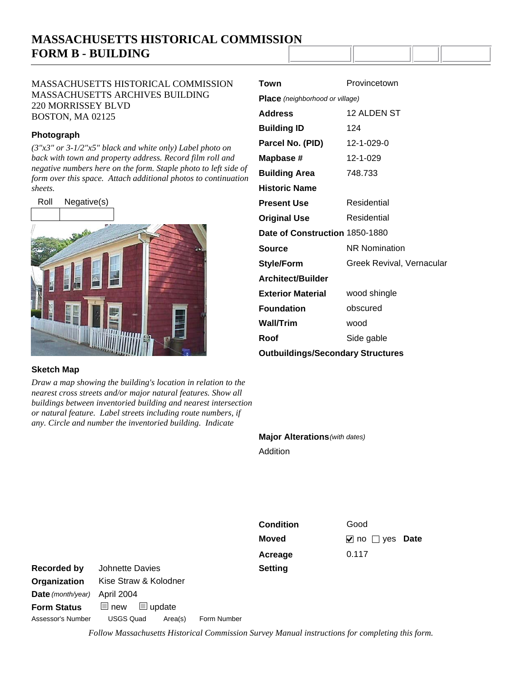# **MASSACHUSETTS HISTORICAL COMMISSION FORM B - BUILDING**

## MASSACHUSETTS HISTORICAL COMMISSION MASSACHUSETTS ARCHIVES BUILDING 220 MORRISSEY BLVD BOSTON, MA 02125

## **Photograph**

*(3"x3" or 3-1/2"x5" black and white only) Label photo on back with town and property address. Record film roll and negative numbers here on the form. Staple photo to left side of form over this space. Attach additional photos to continuation sheets.*



### **Sketch Map**

*Draw a map showing the building's location in relation to the nearest cross streets and/or major natural features. Show all buildings between inventoried building and nearest intersection or natural feature. Label streets including route numbers, if any. Circle and number the inventoried building. Indicate* 

| Town                                     | Provincetown              |
|------------------------------------------|---------------------------|
| Place (neighborhood or village)          |                           |
| <b>Address</b>                           | 12 ALDEN ST               |
| <b>Building ID</b>                       | 124                       |
| Parcel No. (PID)                         | 12-1-029-0                |
| Mapbase #                                | 12-1-029                  |
| <b>Building Area</b>                     | 748.733                   |
| <b>Historic Name</b>                     |                           |
| <b>Present Use</b>                       | Residential               |
| <b>Original Use</b>                      | Residential               |
| Date of Construction 1850-1880           |                           |
| <b>Source</b>                            | <b>NR Nomination</b>      |
| <b>Style/Form</b>                        | Greek Revival, Vernacular |
| Architect/Builder                        |                           |
| <b>Exterior Material</b>                 | wood shingle              |
| <b>Foundation</b>                        | obscured                  |
| <b>Wall/Trim</b>                         | wood                      |
| Roof                                     | Side gable                |
| <b>Outbuildings/Secondary Structures</b> |                           |

**Major Alterations** *(with dates)*

Addition

**Setting Condition** Good **Acreage** 0.117

**Moved v** no yes Date

Date (month/year) April 2004

**Organization** Kise Straw & Kolodner Assessor's Number USGS Quad Area(s) Form Number **Form Status new update Recorded by** Johnette Davies

*Follow Massachusetts Historical Commission Survey Manual instructions for completing this form.*